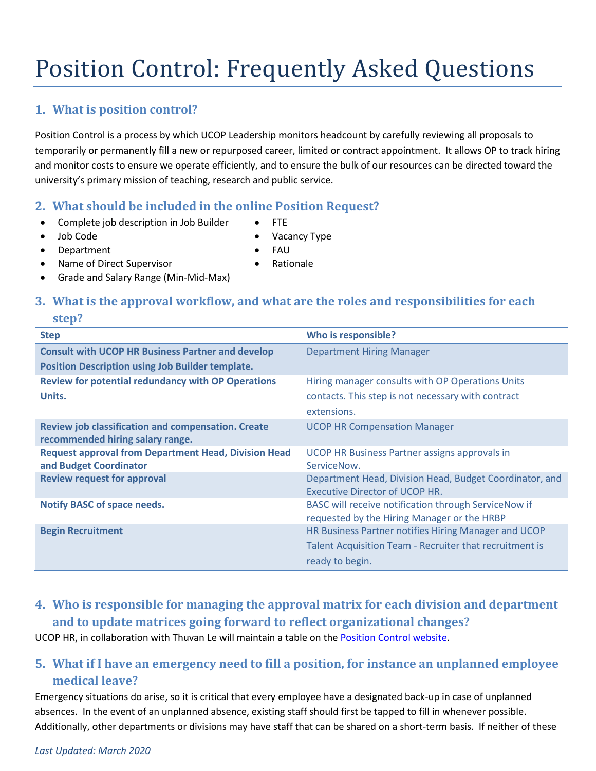# Position Control: Frequently Asked Questions

## **1. What is position control?**

Position Control is a process by which UCOP Leadership monitors headcount by carefully reviewing all proposals to temporarily or permanently fill a new or repurposed career, limited or contract appointment. It allows OP to track hiring and monitor costs to ensure we operate efficiently, and to ensure the bulk of our resources can be directed toward the university's primary mission of teaching, research and public service.

#### **2. What should be included in the online Position Request?**

- Complete job description in Job Builder FTE
	-
	- Job Code Vacancy Type
- Department FAU
	-
- Name of Direct Supervisor Rationale
- Grade and Salary Range (Min-Mid-Max)

## **3. What is the approval workflow, and what are the roles and responsibilities for each**

#### **step?**

| <b>Step</b>                                                                            | Who is responsible?                                                                                 |
|----------------------------------------------------------------------------------------|-----------------------------------------------------------------------------------------------------|
| <b>Consult with UCOP HR Business Partner and develop</b>                               | <b>Department Hiring Manager</b>                                                                    |
| <b>Position Description using Job Builder template.</b>                                |                                                                                                     |
| <b>Review for potential redundancy with OP Operations</b>                              | Hiring manager consults with OP Operations Units                                                    |
| Units.                                                                                 | contacts. This step is not necessary with contract                                                  |
|                                                                                        | extensions.                                                                                         |
| Review job classification and compensation. Create<br>recommended hiring salary range. | <b>UCOP HR Compensation Manager</b>                                                                 |
| <b>Request approval from Department Head, Division Head</b><br>and Budget Coordinator  | UCOP HR Business Partner assigns approvals in<br>ServiceNow.                                        |
| <b>Review request for approval</b>                                                     | Department Head, Division Head, Budget Coordinator, and<br><b>Executive Director of UCOP HR.</b>    |
| <b>Notify BASC of space needs.</b>                                                     | BASC will receive notification through ServiceNow if<br>requested by the Hiring Manager or the HRBP |
| <b>Begin Recruitment</b>                                                               | HR Business Partner notifies Hiring Manager and UCOP                                                |
|                                                                                        | Talent Acquisition Team - Recruiter that recruitment is                                             |
|                                                                                        | ready to begin.                                                                                     |

## **4. Who is responsible for managing the approval matrix for each division and department and to update matrices going forward to reflect organizational changes?**

UCOP HR, in collaboration with Thuvan Le will maintain a table on the [Position Control website.](http://ucop.edu/business-operations/procedures-guidance/position-control.html)

## **5. What if I have an emergency need to fill a position, for instance an unplanned employee medical leave?**

Emergency situations do arise, so it is critical that every employee have a designated back-up in case of unplanned absences. In the event of an unplanned absence, existing staff should first be tapped to fill in whenever possible. Additionally, other departments or divisions may have staff that can be shared on a short-term basis. If neither of these

#### *Last Updated: March 2020*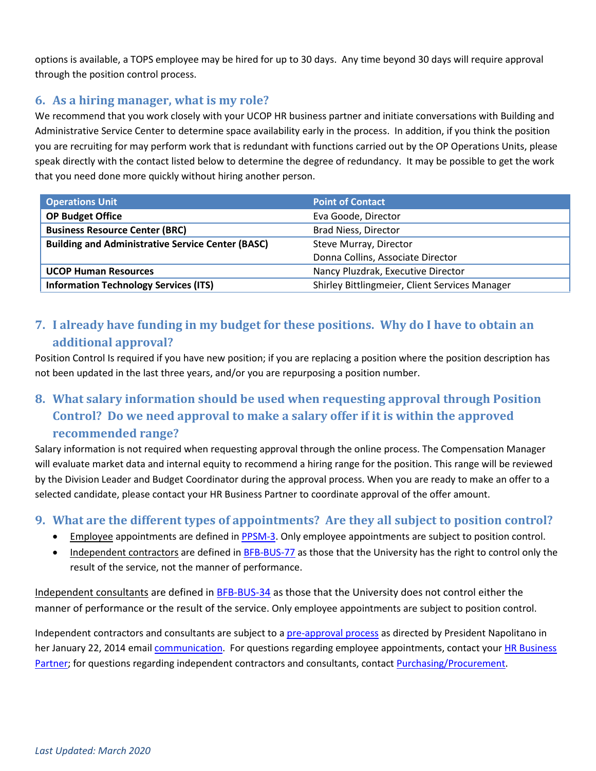options is available, a TOPS employee may be hired for up to 30 days. Any time beyond 30 days will require approval through the position control process.

## **6. As a hiring manager, what is my role?**

We recommend that you work closely with your UCOP HR business partner and initiate conversations with Building and Administrative Service Center to determine space availability early in the process. In addition, if you think the position you are recruiting for may perform work that is redundant with functions carried out by the OP Operations Units, please speak directly with the contact listed below to determine the degree of redundancy. It may be possible to get the work that you need done more quickly without hiring another person.

| <b>Operations Unit</b>                                   | <b>Point of Contact</b>                        |
|----------------------------------------------------------|------------------------------------------------|
| <b>OP Budget Office</b>                                  | Eva Goode, Director                            |
| <b>Business Resource Center (BRC)</b>                    | Brad Niess, Director                           |
| <b>Building and Administrative Service Center (BASC)</b> | Steve Murray, Director                         |
|                                                          | Donna Collins, Associate Director              |
| <b>UCOP Human Resources</b>                              | Nancy Pluzdrak, Executive Director             |
| <b>Information Technology Services (ITS)</b>             | Shirley Bittlingmeier, Client Services Manager |

**7. I already have funding in my budget for these positions. Why do I have to obtain an additional approval?**

Position Control Is required if you have new position; if you are replacing a position where the position description has not been updated in the last three years, and/or you are repurposing a position number.

## **8. What salary information should be used when requesting approval through Position Control? Do we need approval to make a salary offer if it is within the approved recommended range?**

Salary information is not required when requesting approval through the online process. The Compensation Manager will evaluate market data and internal equity to recommend a hiring range for the position. This range will be reviewed by the Division Leader and Budget Coordinator during the approval process. When you are ready to make an offer to a selected candidate, please contact your HR Business Partner to coordinate approval of the offer amount.

### **9. What are the different types of appointments? Are they all subject to position control?**

- Employee appointments are defined i[n PPSM-3.](http://policy.ucop.edu/doc/4010390/PPSM-3) Only employee appointments are subject to position control.
- Independent contractors are defined in [BFB-BUS-77](http://policy.ucop.edu/doc/3220483/BFB-BUS-77) as those that the University has the right to control only the result of the service, not the manner of performance.

Independent consultants are defined i[n BFB-BUS-34](http://policy.ucop.edu/doc/3220478/BFB-BUS-34) as those that the University does not control either the manner of performance or the result of the service. Only employee appointments are subject to position control.

Independent contractors and consultants are subject to a [pre-approval process](http://www.ucop.edu/business-operations/procedures-guidance/preapproval-consultants-contractors.html) as directed by President Napolitano in her January 22, 2014 emai[l communication.](http://link.ucop.edu/2014/01/27/president-napolitano-implementing-budget-capping-measures-at-ucop/) For questions regarding employee appointments, contact your HR Business [Partner;](http://www.ucop.edu/local-human-resources/staff-contacts/find-hr-business-partner.html) for questions regarding independent contractors and consultants, contact [Purchasing/Procurement.](mailto:ucopcontractor@ucop.edu)